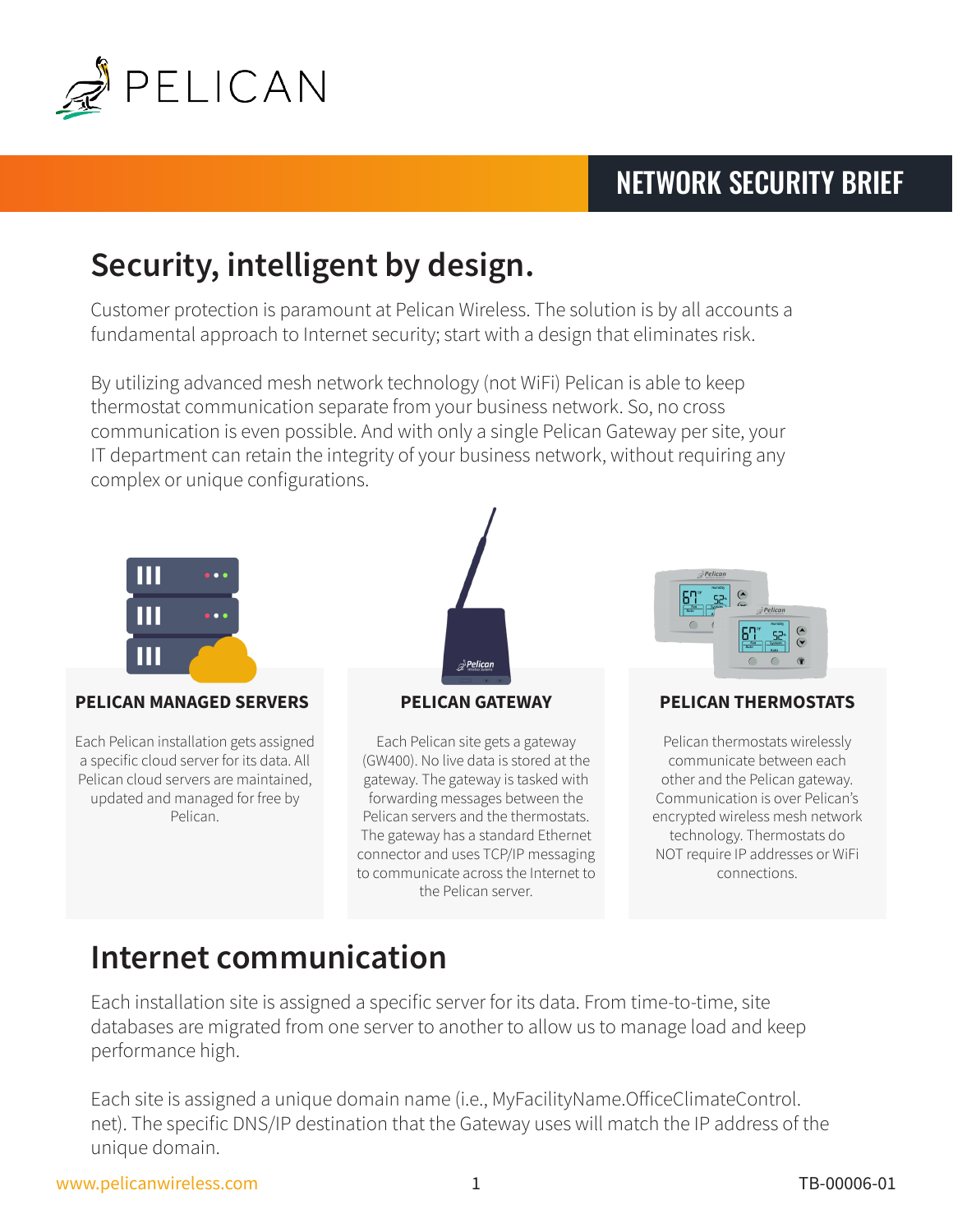

### NETWORK SECURITY BRIEF

# **Security, intelligent by design.**

Customer protection is paramount at Pelican Wireless. The solution is by all accounts a fundamental approach to Internet security; start with a design that eliminates risk.

By utilizing advanced mesh network technology (not WiFi) Pelican is able to keep thermostat communication separate from your business network. So, no cross communication is even possible. And with only a single Pelican Gateway per site, your IT department can retain the integrity of your business network, without requiring any complex or unique configurations.



### **PELICAN MANAGED SERVERS PELICAN GATEWAY PELICAN THERMOSTATS**

Each Pelican installation gets assigned a specific cloud server for its data. All Pelican cloud servers are maintained, updated and managed for free by Pelican.



Each Pelican site gets a gateway (GW400). No live data is stored at the gateway. The gateway is tasked with forwarding messages between the Pelican servers and the thermostats. The gateway has a standard Ethernet connector and uses TCP/IP messaging to communicate across the Internet to the Pelican server.



Pelican thermostats wirelessly communicate between each other and the Pelican gateway. Communication is over Pelican's encrypted wireless mesh network technology. Thermostats do NOT require IP addresses or WiFi connections.

### **Internet communication**

Each installation site is assigned a specific server for its data. From time-to-time, site databases are migrated from one server to another to allow us to manage load and keep performance high.

Each site is assigned a unique domain name (i.e., MyFacilityName.OfficeClimateControl. net). The specific DNS/IP destination that the Gateway uses will match the IP address of the unique domain.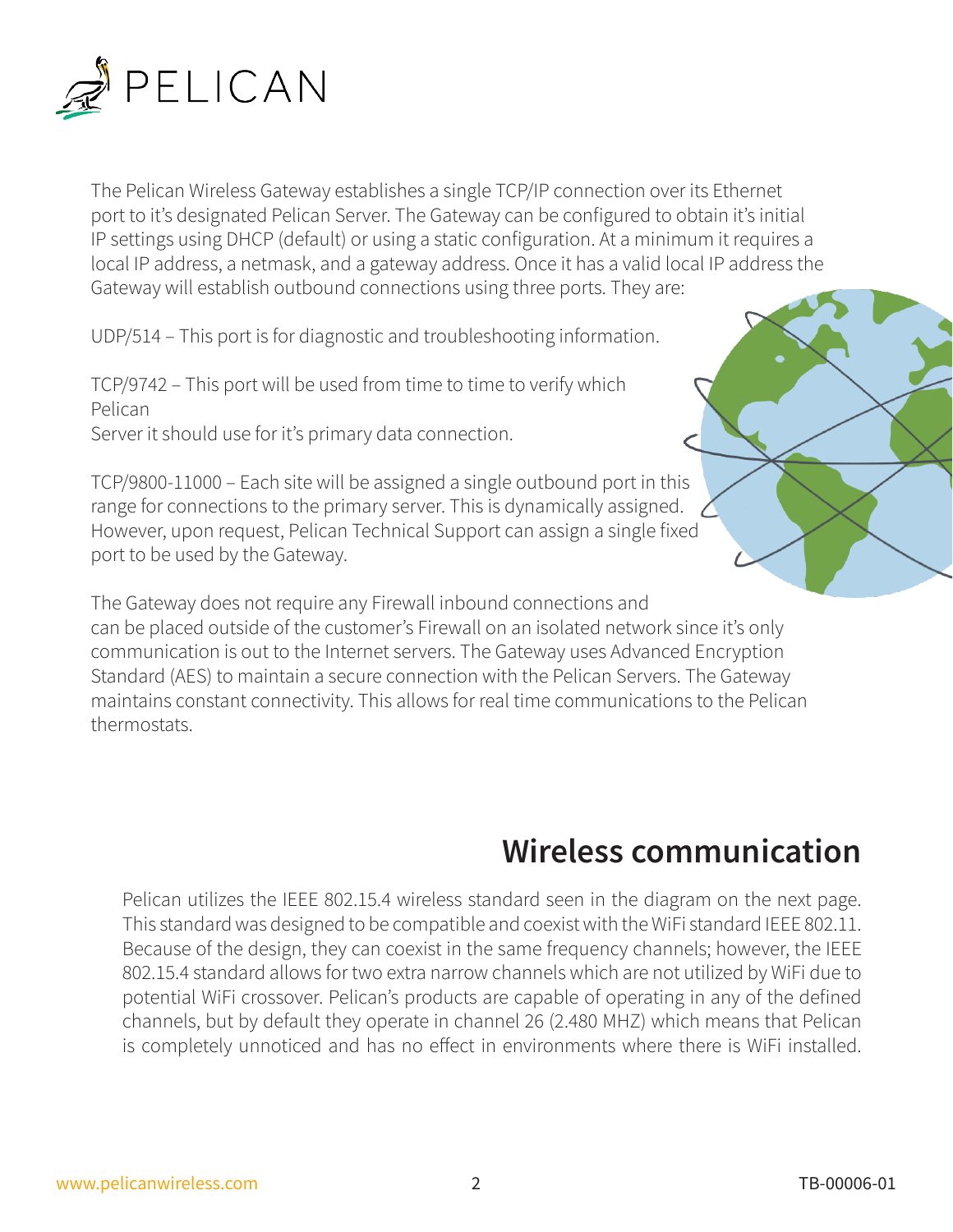

The Pelican Wireless Gateway establishes a single TCP/IP connection over its Ethernet port to it's designated Pelican Server. The Gateway can be configured to obtain it's initial IP settings using DHCP (default) or using a static configuration. At a minimum it requires a local IP address, a netmask, and a gateway address. Once it has a valid local IP address the Gateway will establish outbound connections using three ports. They are:

UDP/514 – This port is for diagnostic and troubleshooting information.

TCP/9742 – This port will be used from time to time to verify which Pelican Server it should use for it's primary data connection.

TCP/9800-11000 – Each site will be assigned a single outbound port in this range for connections to the primary server. This is dynamically assigned. However, upon request, Pelican Technical Support can assign a single fixed port to be used by the Gateway.

The Gateway does not require any Firewall inbound connections and can be placed outside of the customer's Firewall on an isolated network since it's only communication is out to the Internet servers. The Gateway uses Advanced Encryption Standard (AES) to maintain a secure connection with the Pelican Servers. The Gateway maintains constant connectivity. This allows for real time communications to the Pelican thermostats.

## **Wireless communication**

Pelican utilizes the IEEE 802.15.4 wireless standard seen in the diagram on the next page. This standard was designed to be compatible and coexist with the WiFi standard IEEE 802.11. Because of the design, they can coexist in the same frequency channels; however, the IEEE 802.15.4 standard allows for two extra narrow channels which are not utilized by WiFi due to potential WiFi crossover. Pelican's products are capable of operating in any of the defined channels, but by default they operate in channel 26 (2.480 MHZ) which means that Pelican is completely unnoticed and has no effect in environments where there is WiFi installed.